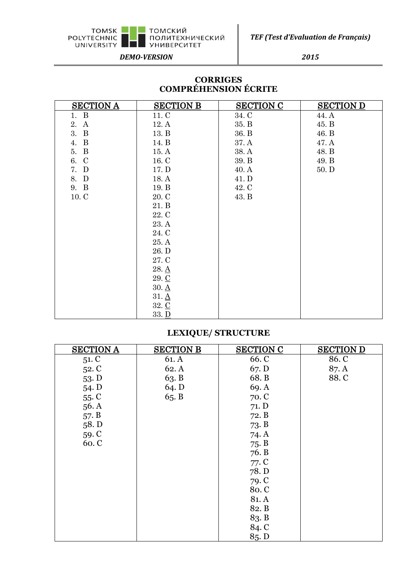

*TEF (Test d'Evaluation de Français)*

*DEMO-VERSION 2015*

## **CORRIGES COMPRÉHENSION ÉCRITE**

| <b>SECTION A</b> | <b>SECTION B</b>    | <b>SECTION C</b> | <b>SECTION D</b> |
|------------------|---------------------|------------------|------------------|
| 1. B             | 11. C               | 34. C            | 44. A            |
| $\bf{A}$<br>2.   | 12.A                | 35. B            | 45. B            |
| 3. B             | 13. B               | 36. B            | 46. B            |
| $\bf{B}$<br>4.   | 14. B               | 37. A            | 47. A            |
| 5. B             | 15.A                | 38. A            | 48. B            |
| 6. C             | 16. C               | 39. B            | 49. B            |
| 7. D             | 17. D               | 40. A            | $50.$ D          |
| 8. D             | 18. A               | 41. D            |                  |
| 9. B             | 19. B               | 42. C            |                  |
| 10. C            | 20. C               | 43. B            |                  |
|                  | 21. B               |                  |                  |
|                  | 22. C               |                  |                  |
|                  | 23. A               |                  |                  |
|                  | 24. C               |                  |                  |
|                  | 25. A               |                  |                  |
|                  | 26. D               |                  |                  |
|                  | 27. C               |                  |                  |
|                  | $28. \underline{A}$ |                  |                  |
|                  | 29. C               |                  |                  |
|                  | $30. \underline{A}$ |                  |                  |
|                  | $31. \underline{A}$ |                  |                  |
|                  | 32. C               |                  |                  |
|                  | 33. <u>D</u>        |                  |                  |

## **LEXIQUE/ STRUCTURE**

| <b>SECTION A</b> | <b>SECTION B</b> | <b>SECTION C</b> | <b>SECTION D</b> |
|------------------|------------------|------------------|------------------|
| 51. C            | 61. A            | 66. C            | 86. C            |
| 52. C            | 62.A             | 67. D            | 87. A            |
| 53. D            | 63. B            | 68. B            | 88.C             |
| 54. D            | 64. D            | 69.A             |                  |
| 55C              | 65. B            | 70. C            |                  |
| 56.A             |                  | 71. D            |                  |
| 57. B            |                  | 72. B            |                  |
| 58. D            |                  | 73. B            |                  |
| 59. C            |                  | 74. A            |                  |
| 60. C            |                  | 75. B            |                  |
|                  |                  | 76. B            |                  |
|                  |                  | 77. C            |                  |
|                  |                  | 78. D            |                  |
|                  |                  | 79. C            |                  |
|                  |                  | 80. C            |                  |
|                  |                  | 81. A            |                  |
|                  |                  | 82. B            |                  |
|                  |                  | 83. B            |                  |
|                  |                  | 84. C            |                  |
|                  |                  | 85. D            |                  |